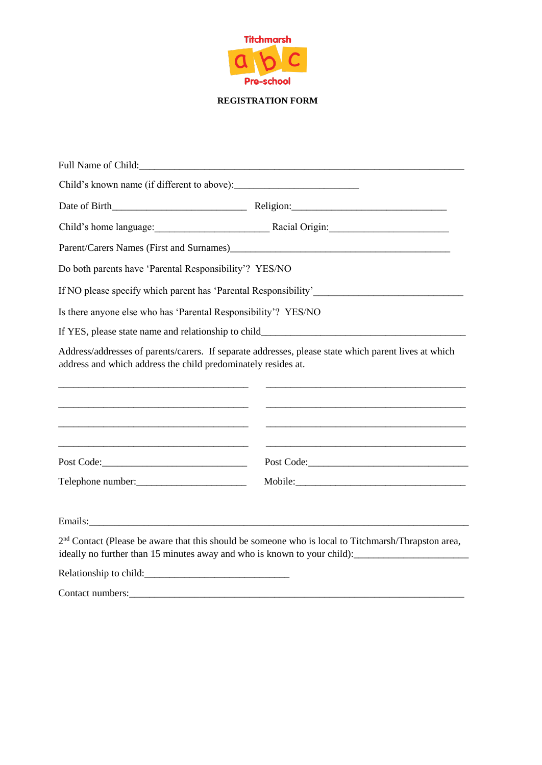

#### **REGISTRATION FORM**

| Full Name of Child:                                            |                                                                                                                                                                    |
|----------------------------------------------------------------|--------------------------------------------------------------------------------------------------------------------------------------------------------------------|
|                                                                |                                                                                                                                                                    |
|                                                                |                                                                                                                                                                    |
|                                                                | Child's home language: Racial Origin: Racial Origin:                                                                                                               |
|                                                                | Parent/Carers Names (First and Surnames)<br><u>Land Carers Names</u> (First and Surnames)                                                                          |
| Do both parents have 'Parental Responsibility'? YES/NO         |                                                                                                                                                                    |
|                                                                |                                                                                                                                                                    |
| Is there anyone else who has 'Parental Responsibility'? YES/NO |                                                                                                                                                                    |
|                                                                |                                                                                                                                                                    |
| address and which address the child predominately resides at.  | Address/addresses of parents/carers. If separate addresses, please state which parent lives at which<br><u> 1989 - Johann Stoff, amerikansk politiker (* 1908)</u> |
|                                                                | Post Code: New York Code:                                                                                                                                          |
| Telephone number:                                              |                                                                                                                                                                    |
|                                                                |                                                                                                                                                                    |
|                                                                | $2nd$ Contact (Please be aware that this should be someone who is local to Titchmarsh/Thrapston area,                                                              |
|                                                                |                                                                                                                                                                    |
| Contact numbers:                                               |                                                                                                                                                                    |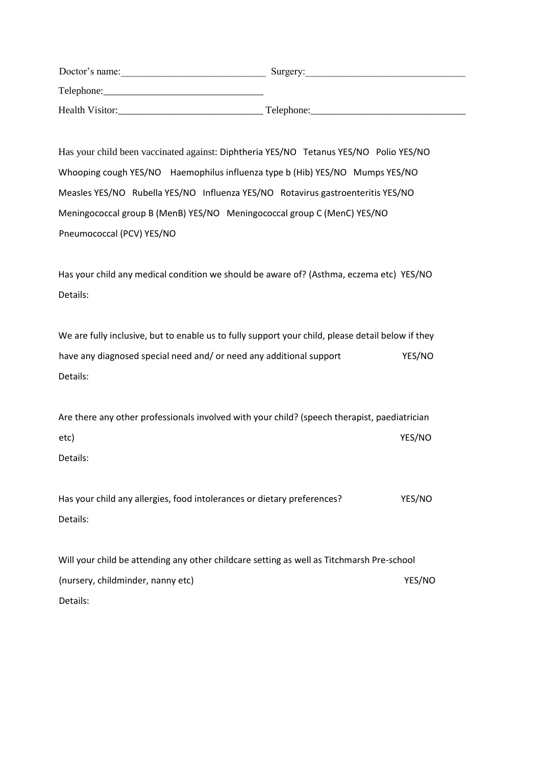| Doctor's name:  | Surgery:   |
|-----------------|------------|
| Telephone:      |            |
| Health Visitor: | Telephone: |

Has your child been vaccinated against: Diphtheria YES/NO Tetanus YES/NO Polio YES/NO Whooping cough YES/NO Haemophilus influenza type b (Hib) YES/NO Mumps YES/NO Measles YES/NO Rubella YES/NO Influenza YES/NO Rotavirus gastroenteritis YES/NO Meningococcal group B (MenB) YES/NO Meningococcal group C (MenC) YES/NO Pneumococcal (PCV) YES/NO

Has your child any medical condition we should be aware of? (Asthma, eczema etc) YES/NO Details:

We are fully inclusive, but to enable us to fully support your child, please detail below if they have any diagnosed special need and/ or need any additional support YES/NO Details:

Are there any other professionals involved with your child? (speech therapist, paediatrician etc) YES/NO Details:

Has your child any allergies, food intolerances or dietary preferences? YES/NO Details:

Will your child be attending any other childcare setting as well as Titchmarsh Pre-school (nursery, childminder, nanny etc) WES/NO Details: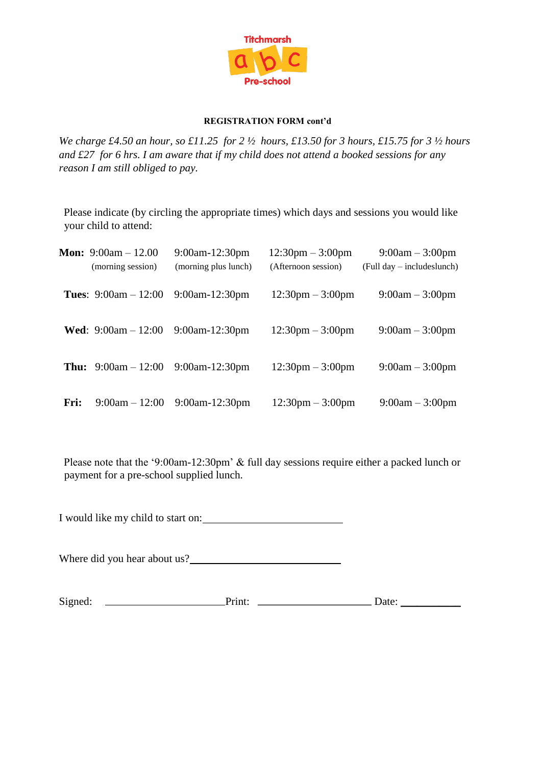

#### **REGISTRATION FORM cont'd**

*We charge £4.50 an hour, so £11.25 for 2 ½ hours, £13.50 for 3 hours, £15.75 for 3 ½ hours and £27 for 6 hrs. I am aware that if my child does not attend a booked sessions for any reason I am still obliged to pay.* 

Please indicate (by circling the appropriate times) which days and sessions you would like your child to attend:

|      | <b>Mon:</b> 9:00am $-12.00$<br>(morning session) | $9:00$ am-12:30pm<br>(morning plus lunch) | $12:30 \text{pm} - 3:00 \text{pm}$<br>(Afternoon session) | $9:00am - 3:00pm$<br>$(Full day - includes lunch)$ |
|------|--------------------------------------------------|-------------------------------------------|-----------------------------------------------------------|----------------------------------------------------|
|      | <b>Tues:</b> $9:00am - 12:00$                    | $9:00$ am-12:30pm                         | $12:30 \text{pm} - 3:00 \text{pm}$                        | $9:00am - 3:00pm$                                  |
|      | <b>Wed:</b> 9:00am $-12:00$                      | $9:00$ am-12:30pm                         | $12:30 \text{pm} - 3:00 \text{pm}$                        | $9:00am - 3:00pm$                                  |
|      | <b>Thu:</b> $9:00am - 12:00$                     | $9:00$ am-12:30pm                         | $12:30 \text{pm} - 3:00 \text{pm}$                        | $9:00am - 3:00pm$                                  |
| Fri: | $9:00am - 12:00$                                 | $9:00$ am-12:30pm                         | $12:30 \text{pm} - 3:00 \text{pm}$                        | $9:00am - 3:00pm$                                  |

Please note that the '9:00am-12:30pm' & full day sessions require either a packed lunch or payment for a pre-school supplied lunch.

I would like my child to start on:

Where did you hear about us?

Signed: Print: Date: \_\_\_\_\_\_\_\_\_\_\_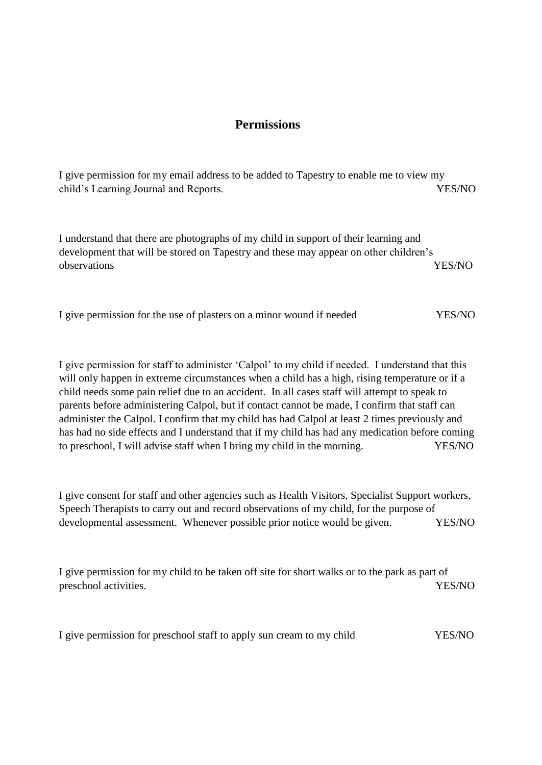# **Permissions**

I give permission for my email address to be added to Tapestry to enable me to view my child's Learning Journal and Reports.

I understand that there are photographs of my child in support of their learning and development that will be stored on Tapestry and these may appear on other children's observations YES/NO

|  |  |  | I give permission for the use of plasters on a minor wound if needed | YES/NO |
|--|--|--|----------------------------------------------------------------------|--------|
|  |  |  |                                                                      |        |

I give permission for staff to administer 'Calpol' to my child if needed. I understand that this will only happen in extreme circumstances when a child has a high, rising temperature or if a child needs some pain relief due to an accident. In all cases staff will attempt to speak to parents before administering Calpol, but if contact cannot be made, I confirm that staff can administer the Calpol. I confirm that my child has had Calpol at least 2 times previously and has had no side effects and I understand that if my child has had any medication before coming to preschool, I will advise staff when I bring my child in the morning. YES/NO

I give consent for staff and other agencies such as Health Visitors, Specialist Support workers, Speech Therapists to carry out and record observations of my child, for the purpose of developmental assessment. Whenever possible prior notice would be given. YES/NO

I give permission for my child to be taken off site for short walks or to the park as part of preschool activities. YES/NO

I give permission for preschool staff to apply sun cream to my child YES/NO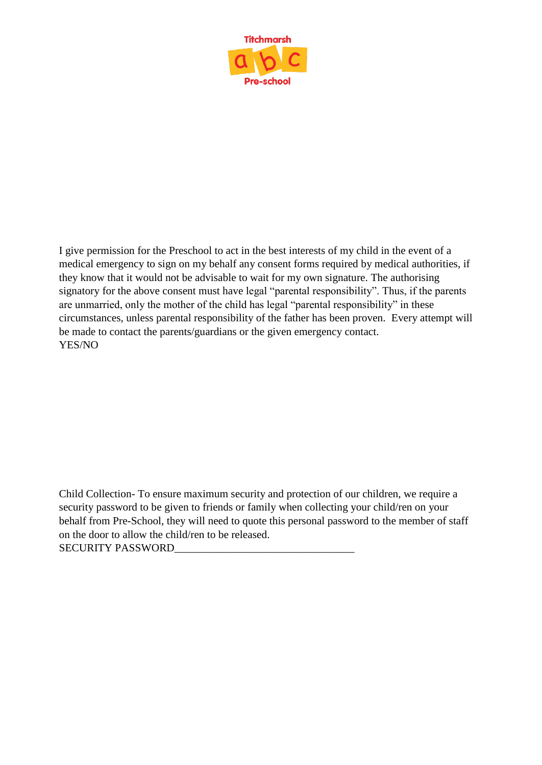

I give permission for the Preschool to act in the best interests of my child in the event of a medical emergency to sign on my behalf any consent forms required by medical authorities, if they know that it would not be advisable to wait for my own signature. The authorising signatory for the above consent must have legal "parental responsibility". Thus, if the parents are unmarried, only the mother of the child has legal "parental responsibility" in these circumstances, unless parental responsibility of the father has been proven. Every attempt will be made to contact the parents/guardians or the given emergency contact. YES/NO

Child Collection- To ensure maximum security and protection of our children, we require a security password to be given to friends or family when collecting your child/ren on your behalf from Pre-School, they will need to quote this personal password to the member of staff on the door to allow the child/ren to be released.

SECURITY PASSWORD\_\_\_\_\_\_\_\_\_\_\_\_\_\_\_\_\_\_\_\_\_\_\_\_\_\_\_\_\_\_\_\_\_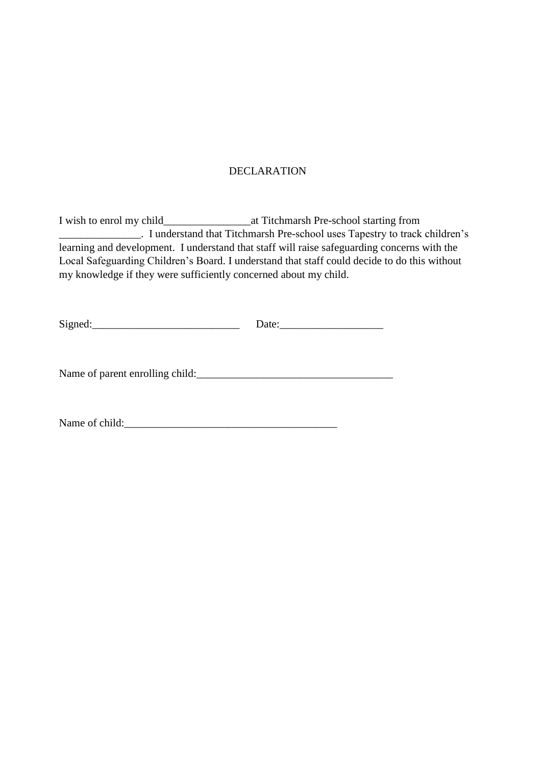## DECLARATION

I wish to enrol my child\_\_\_\_\_\_\_\_\_\_\_\_\_\_\_\_at Titchmarsh Pre-school starting from \_\_\_\_\_\_\_\_\_\_\_\_\_\_\_. I understand that Titchmarsh Pre-school uses Tapestry to track children's learning and development. I understand that staff will raise safeguarding concerns with the Local Safeguarding Children's Board. I understand that staff could decide to do this without my knowledge if they were sufficiently concerned about my child.

Name of parent enrolling child:\_\_\_\_\_\_\_\_\_\_\_\_\_\_\_\_\_\_\_\_\_\_\_\_\_\_\_\_\_\_\_\_\_\_\_\_

Name of child: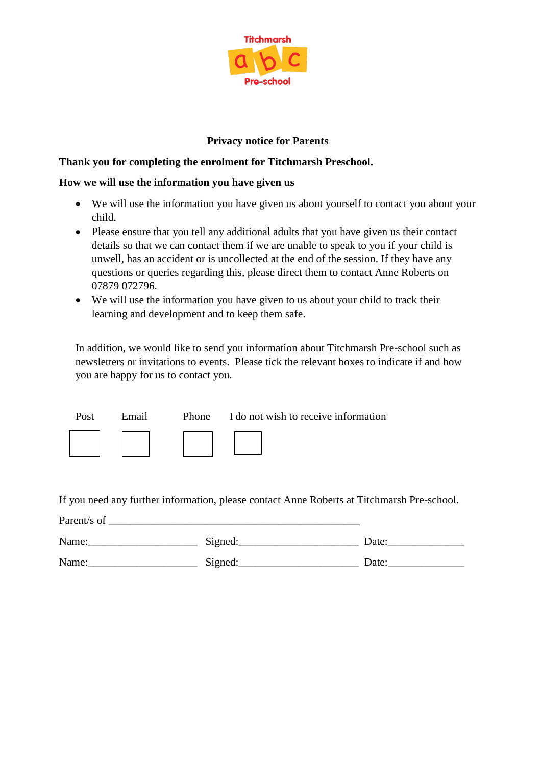

## **Privacy notice for Parents**

### **Thank you for completing the enrolment for Titchmarsh Preschool.**

### **How we will use the information you have given us**

- We will use the information you have given us about yourself to contact you about your child.
- Please ensure that you tell any additional adults that you have given us their contact details so that we can contact them if we are unable to speak to you if your child is unwell, has an accident or is uncollected at the end of the session. If they have any questions or queries regarding this, please direct them to contact Anne Roberts on 07879 072796.
- We will use the information you have given to us about your child to track their learning and development and to keep them safe.

In addition, we would like to send you information about Titchmarsh Pre-school such as newsletters or invitations to events. Please tick the relevant boxes to indicate if and how you are happy for us to contact you.

| Post | Email | Phone I do not wish to receive information |
|------|-------|--------------------------------------------|
|      |       |                                            |

If you need any further information, please contact Anne Roberts at Titchmarsh Pre-school.

| Parent/s of |         |       |
|-------------|---------|-------|
| Name:       | Signed: | Date: |
| Name:       | Signed: | Date: |